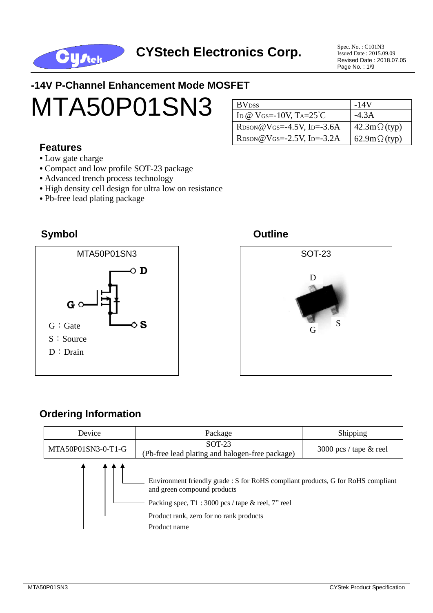

Issued Date : 2015.09.09 Revised Date : 2018.07.05 Page No. : 1/9

## **-14V P-Channel Enhancement Mode MOSFET**



#### **Features**

- **•** Low gate charge
- **•** Compact and low profile SOT-23 package
- Advanced trench process technology
- High density cell design for ultra low on resistance
- **•** Pb-free lead plating package

#### **Symbol Outline**







#### **Ordering Information**

| Device             | Package                                                                                                                                                                                                                          | Shipping                 |  |  |
|--------------------|----------------------------------------------------------------------------------------------------------------------------------------------------------------------------------------------------------------------------------|--------------------------|--|--|
| MTA50P01SN3-0-T1-G | <b>SOT-23</b><br>(Pb-free lead plating and halogen-free package)                                                                                                                                                                 | 3000 pcs / tape $&$ reel |  |  |
|                    | Environment friendly grade : S for RoHS compliant products, G for RoHS compliant<br>and green compound products<br>Packing spec, $T1:3000$ pcs / tape & reel, 7" reel<br>Product rank, zero for no rank products<br>Product name |                          |  |  |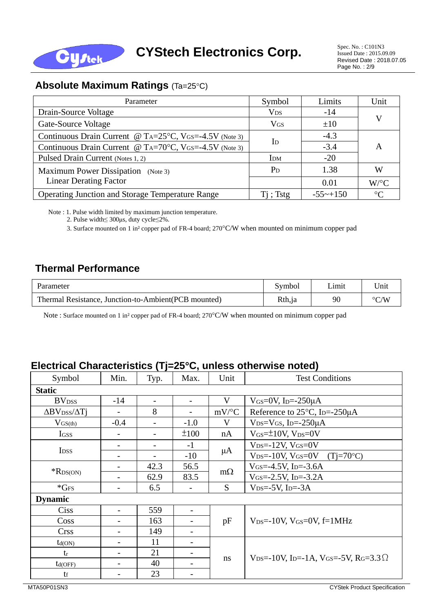

## **Absolute Maximum Ratings (Ta=25°C)**

| Parameter                                                                                   | Symbol                | Limits                 | Unit            |  |
|---------------------------------------------------------------------------------------------|-----------------------|------------------------|-----------------|--|
| Drain-Source Voltage                                                                        | <b>V<sub>DS</sub></b> | $-14$                  |                 |  |
| Gate-Source Voltage                                                                         | $V$ <sub>GS</sub>     | ±10                    | V               |  |
| Continuous Drain Current @ T <sub>A</sub> = $25^{\circ}$ C, V <sub>GS</sub> =-4.5V (Note 3) | $\rm{I}$              | $-4.3$                 |                 |  |
| Continuous Drain Current @ T <sub>A</sub> =70 $^{\circ}$ C, V <sub>GS</sub> =-4.5V (Note 3) |                       | $-3.4$                 | A               |  |
| Pulsed Drain Current (Notes 1, 2)                                                           | <b>IDM</b>            | $-20$                  |                 |  |
| Maximum Power Dissipation (Note 3)                                                          | $P_D$                 | 1.38                   | W               |  |
| <b>Linear Derating Factor</b>                                                               |                       | 0.01                   | $W$ /°C         |  |
| Operating Junction and Storage Temperature Range                                            | $Ti$ ; Tstg           | $-55 \rightarrow +150$ | $\rm ^{\circ}C$ |  |

Note : 1. Pulse width limited by maximum junction temperature.

2. Pulse width≤ 300μs, duty cycle≤2%.

3. Surface mounted on 1 in<sup>2</sup> copper pad of FR-4 board; 270°C/W when mounted on minimum copper pad

## **Thermal Performance**

| Parameter                                             | Symbol | ∟ımıt | Unit               |
|-------------------------------------------------------|--------|-------|--------------------|
| Thermal Resistance, Junction-to-Ambient (PCB mounted) | Rth,ja | 90    | $\rm ^{\circ}$ C/W |

Note : Surface mounted on 1 in<sup>2</sup>copper pad of FR-4 board; 270°C/W when mounted on minimum copper pad

#### **Electrical Characteristics (Tj=25C, unless otherwise noted)**

| Symbol                                   | Min.   | Typ.                     | Max.                     | Unit      | <b>Test Conditions</b>                                                                            |  |  |
|------------------------------------------|--------|--------------------------|--------------------------|-----------|---------------------------------------------------------------------------------------------------|--|--|
| <b>Static</b>                            |        |                          |                          |           |                                                                                                   |  |  |
| <b>BV</b> <sub>DSS</sub>                 | $-14$  | $\overline{\phantom{0}}$ | $\overline{\phantom{a}}$ | V         | $V$ <sub>GS</sub> =0V, I <sub>D</sub> =-250 $\mu$ A                                               |  |  |
| $\Delta$ BV <sub>DSS</sub> / $\Delta$ Tj |        | 8                        | -                        | $mV$ /°C  | Reference to 25°C, Ip=-250µA                                                                      |  |  |
| $V_{GS(th)}$                             | $-0.4$ | $\overline{\phantom{0}}$ | $-1.0$                   | V         | $V_{DS}=V_{GS}$ , I <sub>D</sub> =-250 $\mu$ A                                                    |  |  |
| <b>IGSS</b>                              |        |                          | ±100                     | nA        | $V_{GS} = \pm 10V$ , $V_{DS} = 0V$                                                                |  |  |
|                                          |        | $\qquad \qquad$          | $-1$                     |           | $V_{DS} = -12V$ , $V_{GS} = 0V$                                                                   |  |  |
| I <sub>DSS</sub>                         |        | $\overline{\phantom{0}}$ | $-10$                    | $\mu A$   | $V_{DS} = -10V$ , $V_{GS} = 0V$ (Tj=70°C)                                                         |  |  |
| $*$ R <sub>DS</sub> (ON)                 |        | 42.3                     | 56.5                     |           | $V$ <sub>GS</sub> $=$ -4.5V, I <sub>D</sub> $=$ -3.6A                                             |  |  |
|                                          |        | 62.9                     | 83.5                     | $m\Omega$ | $V_{GS} = -2.5V$ , I <sub>D</sub> $=-3.2A$                                                        |  |  |
| $*GFS$                                   |        | 6.5                      |                          | S         | $V_{DS} = -5V$ , I <sub>D</sub> $= -3A$                                                           |  |  |
| <b>Dynamic</b>                           |        |                          |                          |           |                                                                                                   |  |  |
| Ciss                                     |        | 559                      | $\qquad \qquad -$        |           |                                                                                                   |  |  |
| Coss                                     |        | 163                      |                          | pF        | $V_{DS} = -10V$ , $V_{GS} = 0V$ , $f = 1MHz$                                                      |  |  |
| <b>Crss</b>                              |        | 149                      | $\overline{\phantom{a}}$ |           |                                                                                                   |  |  |
| $t_{d(ON)}$                              |        | 11                       | $\overline{\phantom{a}}$ |           |                                                                                                   |  |  |
| tr                                       |        | 21                       | $\overline{\phantom{a}}$ |           |                                                                                                   |  |  |
| td(OFF)                                  |        | 40                       |                          | ns        | $V_{DS} = -10V$ , I <sub>D</sub> $= -1A$ , V <sub>GS</sub> $= -5V$ , R <sub>G</sub> $= 3.3\Omega$ |  |  |
| tf                                       |        | 23                       |                          |           |                                                                                                   |  |  |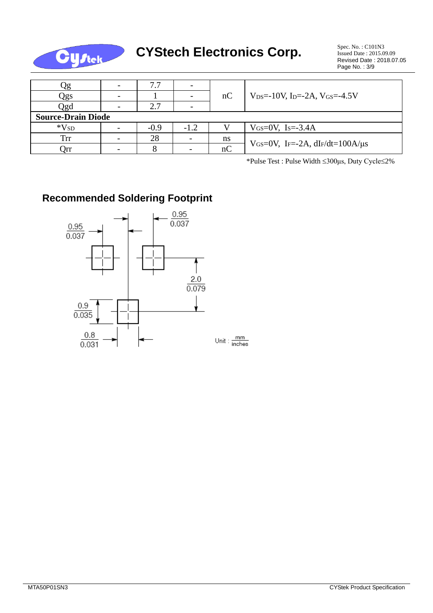

# **CYStech Electronics Corp.** Spec. No. : C101N3

| 72                        | $\overline{\phantom{0}}$ | 7.7    |        |    |                                                                      |  |  |  |
|---------------------------|--------------------------|--------|--------|----|----------------------------------------------------------------------|--|--|--|
| Qgs                       | $\overline{\phantom{0}}$ |        |        | nC | $V_{DS} = -10V$ , I <sub>D</sub> $= -2A$ , V <sub>GS</sub> $= -4.5V$ |  |  |  |
| Qgd                       | $\overline{\phantom{0}}$ | 2.7    |        |    |                                                                      |  |  |  |
| <b>Source-Drain Diode</b> |                          |        |        |    |                                                                      |  |  |  |
| $*V_{SD}$                 | $\overline{\phantom{0}}$ | $-0.9$ | $-1.2$ |    | $V_{GS}=0V$ , Is=-3.4A                                               |  |  |  |
| Trr                       |                          | 28     |        | ns |                                                                      |  |  |  |
| Эrr                       |                          |        |        | nC | VGS=0V, IF=-2A, $dI$ F/dt=100A/ $\mu$ s                              |  |  |  |

\*Pulse Test : Pulse Width 300μs, Duty Cycle2%

## **Recommended Soldering Footprint**

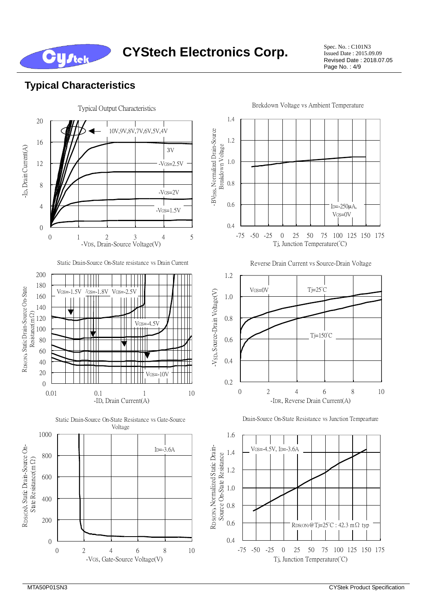**CYStech Electronics Corp.** Spec. No. : C101N3

Issued Date : 2015.09.09 Revised Date : 2018.07.05 Page No. : 4/9

#### **Typical Characteristics**

**Cystek** 

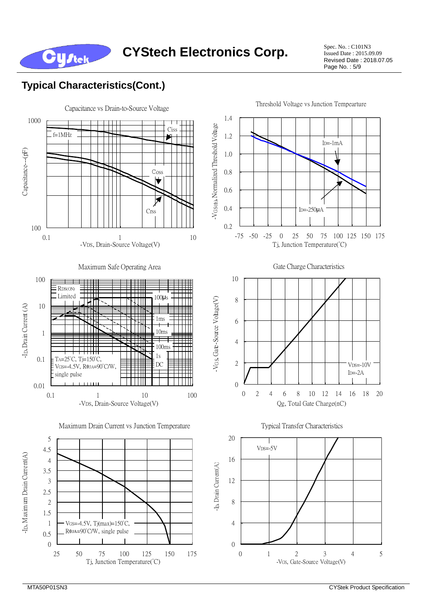

Issued Date : 2015.09.09 Revised Date : 2018.07.05 Page No. : 5/9

## **Typical Characteristics(Cont.)**

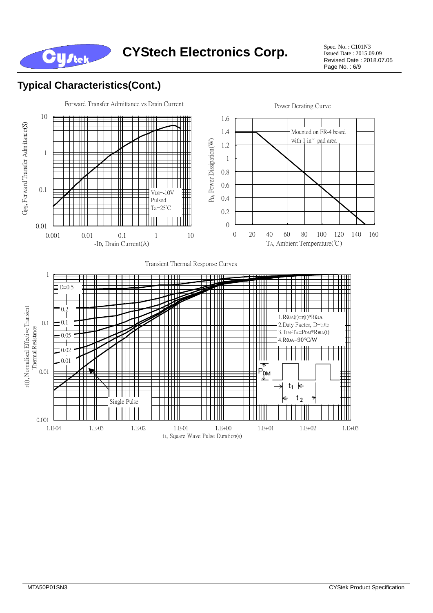

Issued Date : 2015.09.09 Revised Date : 2018.07.05 Page No. : 6/9

## **Typical Characteristics(Cont.)**

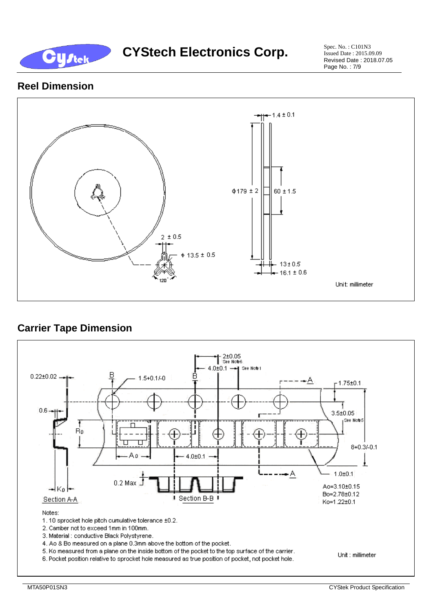

Issued Date : 2015.09.09 Revised Date : 2018.07.05 Page No. : 7/9

#### **Reel Dimension**



### **Carrier Tape Dimension**

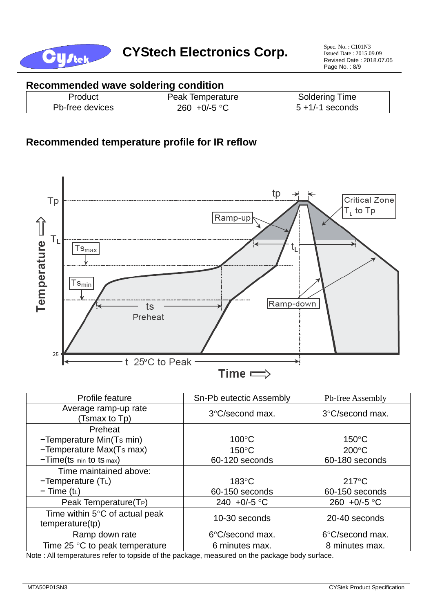

#### **Recommended wave soldering condition**

| Product         | Temperature<br>Peak | Soldering<br>Time     |
|-----------------|---------------------|-----------------------|
| Pb-free devices | +0/-5 °Ր<br>260     | seconds<br>$5 + 1/-1$ |

#### **Recommended temperature profile for IR reflow**



| Profile feature                                                                                                                             | Sn-Pb eutectic Assembly                                                                                                                                                                                                                          | Pb-free Assembly       |  |  |
|---------------------------------------------------------------------------------------------------------------------------------------------|--------------------------------------------------------------------------------------------------------------------------------------------------------------------------------------------------------------------------------------------------|------------------------|--|--|
| Average ramp-up rate<br>Tsmax to Tp)                                                                                                        | 3°C/second max.                                                                                                                                                                                                                                  | 3°C/second max.        |  |  |
| Preheat                                                                                                                                     |                                                                                                                                                                                                                                                  |                        |  |  |
| -Temperature Min(Ts min)                                                                                                                    | $100^{\circ}$ C                                                                                                                                                                                                                                  | $150^{\circ}$ C        |  |  |
| -Temperature Max(Ts max)                                                                                                                    | $150^{\circ}$ C                                                                                                                                                                                                                                  | $200^{\circ}$ C        |  |  |
| $-Time(ts \text{ min} to ts \text{ max})$                                                                                                   | 60-120 seconds                                                                                                                                                                                                                                   | 60-180 seconds         |  |  |
| Time maintained above:                                                                                                                      |                                                                                                                                                                                                                                                  |                        |  |  |
| $-Temperature(TL)$                                                                                                                          | $183^\circ C$                                                                                                                                                                                                                                    | $217^{\circ}$ C        |  |  |
| $-$ Time (t <sub>L</sub> )                                                                                                                  | 60-150 seconds                                                                                                                                                                                                                                   | 60-150 seconds         |  |  |
| Peak Temperature(T <sub>P</sub> )                                                                                                           | 240 +0/-5 $^{\circ}$ C                                                                                                                                                                                                                           | 260 +0/-5 $^{\circ}$ C |  |  |
| Time within $5^{\circ}$ C of actual peak<br>temperature(tp)                                                                                 | 10-30 seconds                                                                                                                                                                                                                                    | 20-40 seconds          |  |  |
| Ramp down rate                                                                                                                              | 6°C/second max.                                                                                                                                                                                                                                  | 6°C/second max.        |  |  |
| Time 25 $\degree$ C to peak temperature<br>All the comments are not controlled and the soft that we had been<br>$\mathbf{A}$ . $\mathbf{A}$ | 6 minutes max.<br>at the contract of the contract of the contract of the contract of the contract of the contract of the contract of the contract of the contract of the contract of the contract of the contract of the contract of the contrac | 8 minutes max.         |  |  |

Note : All temperatures refer to topside of the package, measured on the package body surface.